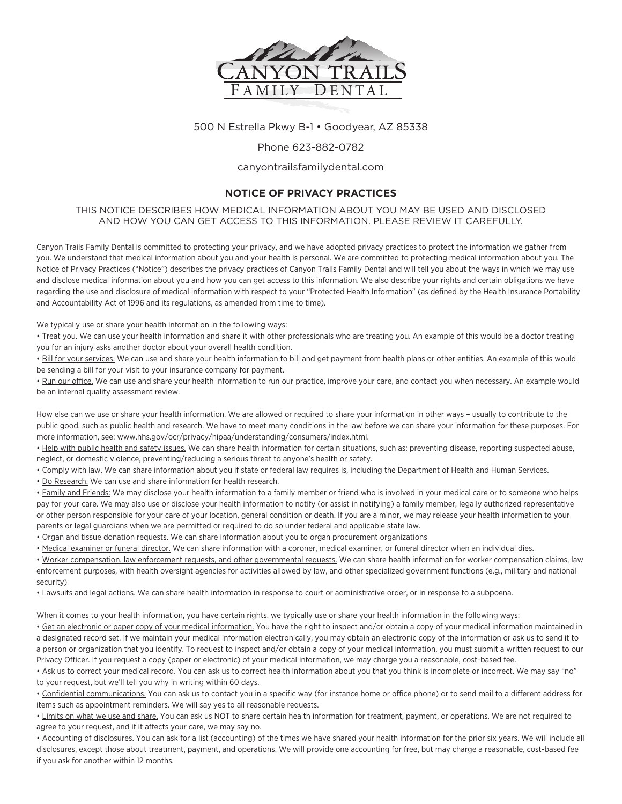

500 N Estrella Pkwy B-1 • Goodyear, AZ 85338

## Phone 623-882-0782

## canyontrailsfamilydental.com

## **NOTICE OF PRIVACY PRACTICES**

THIS NOTICE DESCRIBES HOW MEDICAL INFORMATION ABOUT YOU MAY BE USED AND DISCLOSED AND HOW YOU CAN GET ACCESS TO THIS INFORMATION. PLEASE REVIEW IT CAREFULLY.

Canyon Trails Family Dental is committed to protecting your privacy, and we have adopted privacy practices to protect the information we gather from you. We understand that medical information about you and your health is personal. We are committed to protecting medical information about you. The Notice of Privacy Practices ("Notice") describes the privacy practices of Canyon Trails Family Dental and will tell you about the ways in which we may use and disclose medical information about you and how you can get access to this information. We also describe your rights and certain obligations we have regarding the use and disclosure of medical information with respect to your "Protected Health Information" (as defined by the Health Insurance Portability and Accountability Act of 1996 and its regulations, as amended from time to time).

We typically use or share your health information in the following ways:

• Treat you. We can use your health information and share it with other professionals who are treating you. An example of this would be a doctor treating you for an injury asks another doctor about your overall health condition.

• Bill for your services. We can use and share your health information to bill and get payment from health plans or other entities. An example of this would be sending a bill for your visit to your insurance company for payment.

• Run our office. We can use and share your health information to run our practice, improve your care, and contact you when necessary. An example would be an internal quality assessment review.

How else can we use or share your health information. We are allowed or required to share your information in other ways – usually to contribute to the public good, such as public health and research. We have to meet many conditions in the law before we can share your information for these purposes. For more information, see: www.hhs.gov/ocr/privacy/hipaa/understanding/consumers/index.html.

• Help with public health and safety issues. We can share health information for certain situations, such as: preventing disease, reporting suspected abuse, neglect, or domestic violence, preventing/reducing a serious threat to anyone's health or safety.

. Comply with law. We can share information about you if state or federal law requires is, including the Department of Health and Human Services.

• Do Research. We can use and share information for health research.

• Family and Friends: We may disclose your health information to a family member or friend who is involved in your medical care or to someone who helps pay for your care. We may also use or disclose your health information to notify (or assist in notifying) a family member, legally authorized representative or other person responsible for your care of your location, general condition or death. If you are a minor, we may release your health information to your parents or legal guardians when we are permitted or required to do so under federal and applicable state law.

• Organ and tissue donation requests. We can share information about you to organ procurement organizations

• Medical examiner or funeral director. We can share information with a coroner, medical examiner, or funeral director when an individual dies.

• Worker compensation, law enforcement requests, and other governmental requests. We can share health information for worker compensation claims, law enforcement purposes, with health oversight agencies for activities allowed by law, and other specialized government functions (e.g., military and national security)

• Lawsuits and legal actions. We can share health information in response to court or administrative order, or in response to a subpoena.

When it comes to your health information, you have certain rights, we typically use or share your health information in the following ways:

• Get an electronic or paper copy of your medical information. You have the right to inspect and/or obtain a copy of your medical information maintained in a designated record set. If we maintain your medical information electronically, you may obtain an electronic copy of the information or ask us to send it to a person or organization that you identify. To request to inspect and/or obtain a copy of your medical information, you must submit a written request to our Privacy Officer. If you request a copy (paper or electronic) of your medical information, we may charge you a reasonable, cost-based fee.

• Ask us to correct your medical record. You can ask us to correct health information about you that you think is incomplete or incorrect. We may say "no" to your request, but we'll tell you why in writing within 60 days.

• Confidential communications. You can ask us to contact you in a specific way (for instance home or office phone) or to send mail to a different address for items such as appointment reminders. We will say yes to all reasonable requests.

• Limits on what we use and share. You can ask us NOT to share certain health information for treatment, payment, or operations. We are not required to agree to your request, and if it affects your care, we may say no.

• Accounting of disclosures. You can ask for a list (accounting) of the times we have shared your health information for the prior six years. We will include all disclosures, except those about treatment, payment, and operations. We will provide one accounting for free, but may charge a reasonable, cost-based fee if you ask for another within 12 months.